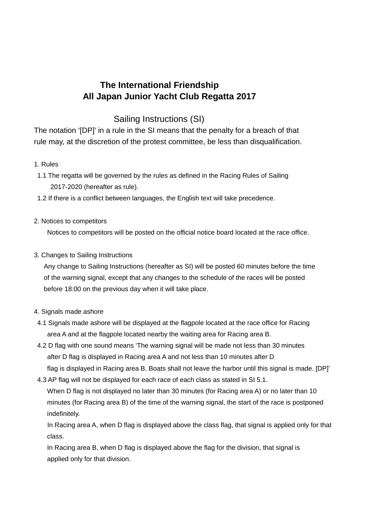# **The International Friendship All Japan Junior Yacht Club Regatta 2017**

# Sailing Instructions (SI)

The notation '[DP]' in a rule in the SI means that the penalty for a breach of that rule may, at the discretion of the protest committee, be less than disqualification.

# 1. Rules

- 1.1 The regatta will be governed by the rules as defined in the Racing Rules of Sailing 2017-2020 (hereafter as rule).
- 1.2 If there is a conflict between languages, the English text will take precedence.

# 2. Notices to competitors

Notices to competitors will be posted on the official notice board located at the race office.

3. Changes to Sailing Instructions

 Any change to Sailing Instructions (hereafter as SI) will be posted 60 minutes before the time of the warning signal, except that any changes to the schedule of the races will be posted before 18:00 on the previous day when it will take place.

## 4. Signals made ashore

- 4.1 Signals made ashore will be displayed at the flagpole located at the race office for Racing area A and at the flagpole located nearby the waiting area for Racing area B.
- 4.2 D flag with one sound means 'The warning signal will be made not less than 30 minutes after D flag is displayed in Racing area A and not less than 10 minutes after D flag is displayed in Racing area B. Boats shall not leave the harbor until this signal is made. [DP]'
- 4.3 AP flag will not be displayed for each race of each class as stated in SI 5.1. When D flag is not displayed no later than 30 minutes (for Racing area A) or no later than 10 minutes (for Racing area B) of the time of the warning signal, the start of the race is postponed indefinitely.

 In Racing area A, when D flag is displayed above the class flag, that signal is applied only for that class.

 In Racing area B, when D flag is displayed above the flag for the division, that signal is applied only for that division.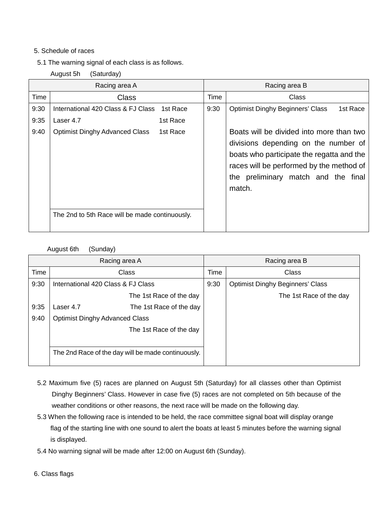## 5. Schedule of races

- 5.1 The warning signal of each class is as follows.
	- August 5h (Saturday)

| Racing area A |                                                   |          | Racing area B |                                                                                                                                                                                                                            |  |  |  |
|---------------|---------------------------------------------------|----------|---------------|----------------------------------------------------------------------------------------------------------------------------------------------------------------------------------------------------------------------------|--|--|--|
| Time          | <b>Class</b>                                      |          |               | Time<br>Class                                                                                                                                                                                                              |  |  |  |
| 9:30          | International 420 Class & FJ Class                | 1st Race | 9:30          | <b>Optimist Dinghy Beginners' Class</b><br>1st Race                                                                                                                                                                        |  |  |  |
| 9:35          | Laser 4.7                                         | 1st Race |               |                                                                                                                                                                                                                            |  |  |  |
| 9:40          | <b>Optimist Dinghy Advanced Class</b><br>1st Race |          |               | Boats will be divided into more than two<br>divisions depending on the number of<br>boats who participate the regatta and the<br>races will be performed by the method of<br>the preliminary match and the final<br>match. |  |  |  |
|               | The 2nd to 5th Race will be made continuously.    |          |               |                                                                                                                                                                                                                            |  |  |  |

#### August 6th (Sunday)

| Racing area A |                                       |                                                    | Racing area B |                                         |  |  |
|---------------|---------------------------------------|----------------------------------------------------|---------------|-----------------------------------------|--|--|
| Time          | Class                                 |                                                    |               | Class                                   |  |  |
| 9:30          | International 420 Class & FJ Class    |                                                    | 9:30          | <b>Optimist Dinghy Beginners' Class</b> |  |  |
|               | The 1st Race of the day               |                                                    |               | The 1st Race of the day                 |  |  |
| 9:35          | Laser 4.7                             | The 1st Race of the day                            |               |                                         |  |  |
| 9:40          | <b>Optimist Dinghy Advanced Class</b> |                                                    |               |                                         |  |  |
|               | The 1st Race of the day               |                                                    |               |                                         |  |  |
|               |                                       |                                                    |               |                                         |  |  |
|               |                                       | The 2nd Race of the day will be made continuously. |               |                                         |  |  |
|               |                                       |                                                    |               |                                         |  |  |

- 5.2 Maximum five (5) races are planned on August 5th (Saturday) for all classes other than Optimist Dinghy Beginners' Class. However in case five (5) races are not completed on 5th because of the weather conditions or other reasons, the next race will be made on the following day.
- 5.3 When the following race is intended to be held, the race committee signal boat will display orange flag of the starting line with one sound to alert the boats at least 5 minutes before the warning signal is displayed.
- 5.4 No warning signal will be made after 12:00 on August 6th (Sunday).

6. Class flags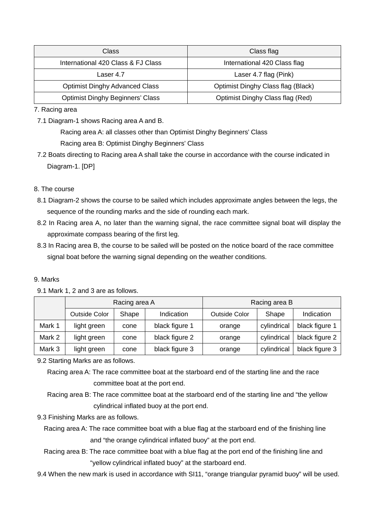| Class                                   | Class flag                         |  |  |
|-----------------------------------------|------------------------------------|--|--|
| International 420 Class & FJ Class      | International 420 Class flag       |  |  |
| Laser 4.7                               | Laser 4.7 flag (Pink)              |  |  |
| <b>Optimist Dinghy Advanced Class</b>   | Optimist Dinghy Class flag (Black) |  |  |
| <b>Optimist Dinghy Beginners' Class</b> | Optimist Dinghy Class flag (Red)   |  |  |

7. Racing area

7.1 Diagram-1 shows Racing area A and B.

Racing area A: all classes other than Optimist Dinghy Beginners' Class

Racing area B: Optimist Dinghy Beginners' Class

7.2 Boats directing to Racing area A shall take the course in accordance with the course indicated in Diagram-1. [DP]

# 8. The course

- 8.1 Diagram-2 shows the course to be sailed which includes approximate angles between the legs, the sequence of the rounding marks and the side of rounding each mark.
- 8.2 In Racing area A, no later than the warning signal, the race committee signal boat will display the approximate compass bearing of the first leg.
- 8.3 In Racing area B, the course to be sailed will be posted on the notice board of the race committee signal boat before the warning signal depending on the weather conditions.

## 9. Marks

|        | Racing area A        |       |                | Racing area B        |             |                |  |
|--------|----------------------|-------|----------------|----------------------|-------------|----------------|--|
|        | <b>Outside Color</b> | Shape | Indication     | <b>Outside Color</b> | Shape       | Indication     |  |
| Mark 1 | light green          | cone  | black figure 1 | orange               | cylindrical | black figure 1 |  |
| Mark 2 | light green          | cone  | black figure 2 | orange               | cylindrical | black figure 2 |  |
| Mark 3 | light green          | cone  | black figure 3 | orange               | cylindrical | black figure 3 |  |

#### 9.1 Mark 1, 2 and 3 are as follows.

9.2 Starting Marks are as follows.

 Racing area A: The race committee boat at the starboard end of the starting line and the race committee boat at the port end.

 Racing area B: The race committee boat at the starboard end of the starting line and "the yellow cylindrical inflated buoy at the port end.

9.3 Finishing Marks are as follows.

 Racing area A: The race committee boat with a blue flag at the starboard end of the finishing line and "the orange cylindrical inflated buoy" at the port end.

- Racing area B: The race committee boat with a blue flag at the port end of the finishing line and "yellow cylindrical inflated buoy" at the starboard end.
- 9.4 When the new mark is used in accordance with SI11, "orange triangular pyramid buoy" will be used.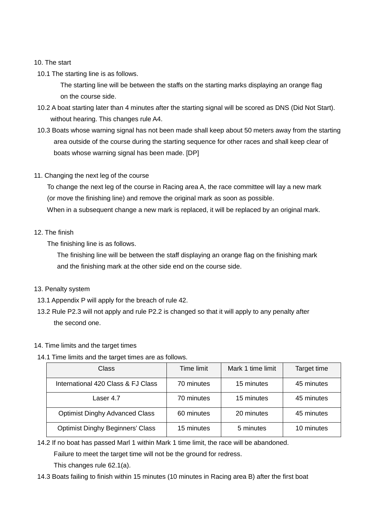#### 10. The start

10.1 The starting line is as follows.

 The starting line will be between the staffs on the starting marks displaying an orange flag on the course side.

- 10.2 A boat starting later than 4 minutes after the starting signal will be scored as DNS (Did Not Start). without hearing. This changes rule A4.
- 10.3 Boats whose warning signal has not been made shall keep about 50 meters away from the starting area outside of the course during the starting sequence for other races and shall keep clear of boats whose warning signal has been made. [DP]
- 11. Changing the next leg of the course

 To change the next leg of the course in Racing area A, the race committee will lay a new mark (or move the finishing line) and remove the original mark as soon as possible. When in a subsequent change a new mark is replaced, it will be replaced by an original mark.

12. The finish

The finishing line is as follows.

 The finishing line will be between the staff displaying an orange flag on the finishing mark and the finishing mark at the other side end on the course side.

- 13. Penalty system
- 13.1 Appendix P will apply for the breach of rule 42.
- 13.2 Rule P2.3 will not apply and rule P2.2 is changed so that it will apply to any penalty after the second one.

#### 14. Time limits and the target times

14.1 Time limits and the target times are as follows.

| Class                                   | Time limit | Mark 1 time limit | Target time |  |
|-----------------------------------------|------------|-------------------|-------------|--|
| International 420 Class & FJ Class      | 70 minutes | 15 minutes        | 45 minutes  |  |
| Laser 4.7                               | 70 minutes | 15 minutes        | 45 minutes  |  |
| <b>Optimist Dinghy Advanced Class</b>   | 60 minutes | 20 minutes        | 45 minutes  |  |
| <b>Optimist Dinghy Beginners' Class</b> | 15 minutes | 5 minutes         | 10 minutes  |  |

14.2 If no boat has passed Marl 1 within Mark 1 time limit, the race will be abandoned.

Failure to meet the target time will not be the ground for redress.

This changes rule 62.1(a).

14.3 Boats failing to finish within 15 minutes (10 minutes in Racing area B) after the first boat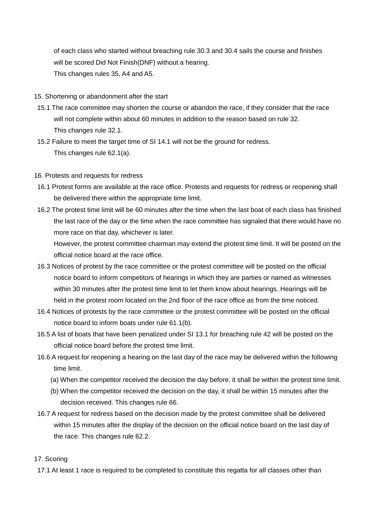of each class who started without breaching rule 30.3 and 30.4 sails the course and finishes will be scored Did Not Finish(DNF) without a hearing. This changes rules 35, A4 and A5.

- 15. Shortening or abandonment after the start
- 15.1 The race committee may shorten the course or abandon the race, if they consider that the race will not complete within about 60 minutes in addition to the reason based on rule 32. This changes rule 32.1.
- 15.2 Failure to meet the target time of SI 14.1 will not be the ground for redress. This changes rule 62.1(a).

#### 16. Protests and requests for redress

- 16.1 Protest forms are available at the race office. Protests and requests for redress or reopening shall be delivered there within the appropriate time limit.
- 16.2 The protest time limit will be 60 minutes after the time when the last boat of each class has finished the last race of the day or the time when the race committee has signaled that there would have no more race on that day, whichever is later.

 However, the protest committee chairman may extend the protest time limit. It will be posted on the official notice board at the race office.

- 16.3 Notices of protest by the race committee or the protest committee will be posted on the official notice board to inform competitors of hearings in which they are parties or named as witnesses within 30 minutes after the protest time limit to let them know about hearings. Hearings will be held in the protest room located on the 2nd floor of the race office as from the time noticed.
- 16.4 Notices of protests by the race committee or the protest committee will be posted on the official notice board to inform boats under rule 61.1(b).
- 16.5 A list of boats that have been penalized under SI 13.1 for breaching rule 42 will be posted on the official notice board before the protest time limit.
- 16.6 A request for reopening a hearing on the last day of the race may be delivered within the following time limit.
	- (a) When the competitor received the decision the day before, it shall be within the protest time limit.
	- (b) When the competitor received the decision on the day, it shall be within 15 minutes after the decision received. This changes rule 66.
- 16.7 A request for redress based on the decision made by the protest committee shall be delivered within 15 minutes after the display of the decision on the official notice board on the last day of the race. This changes rule 62.2.

## 17. Scoring

17.1 At least 1 race is required to be completed to constitute this regatta for all classes other than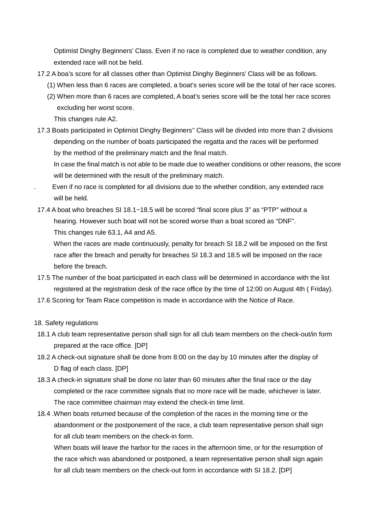Optimist Dinghy Beginners' Class. Even if no race is completed due to weather condition, any extended race will not be held.

- 17.2 A boa's score for all classes other than Optimist Dinghy Beginners' Class will be as follows.
	- (1) When less than 6 races are completed, a boat's series score will be the total of her race scores.
	- (2) When more than 6 races are completed, A boat's series score will be the total her race scores excluding her worst score.

This changes rule A2.

17.3 Boats participated in Optimist Dinghy Beginners'' Class will be divided into more than 2 divisions depending on the number of boats participated the regatta and the races will be performed by the method of the preliminary match and the final match.

 In case the final match is not able to be made due to weather conditions or other reasons, the score will be determined with the result of the preliminary match.

- . Even if no race is completed for all divisions due to the whether condition, any extended race will be held.
- 17.4 A boat who breaches SI 18.1~18.5 will be scored "final score plus 3" as "PTP" without a hearing. However such boat will not be scored worse than a boat scored as "DNF". This changes rule 63.1, A4 and A5.

 When the races are made continuously, penalty for breach SI 18.2 will be imposed on the first race after the breach and penalty for breaches SI 18.3 and 18.5 will be imposed on the race before the breach.

- 17.5 The number of the boat participated in each class will be determined in accordance with the list registered at the registration desk of the race office by the time of 12:00 on August 4th ( Friday).
- 17.6 Scoring for Team Race competition is made in accordance with the Notice of Race.

## 18. Safety regulations

- 18.1 A club team representative person shall sign for all club team members on the check-out/in form prepared at the race office. [DP]
- 18.2 A check-out signature shall be done from 8:00 on the day by 10 minutes after the display of D flag of each class. [DP]
- 18.3 A check-in signature shall be done no later than 60 minutes after the final race or the day completed or the race committee signals that no more race will be made, whichever is later. The race committee chairman may extend the check-in time limit.
- 18.4 .When boats returned because of the completion of the races in the morning time or the abandonment or the postponement of the race, a club team representative person shall sign for all club team members on the check-in form.

When boats will leave the harbor for the races in the afternoon time, or for the resumption of the race which was abandoned or postponed, a team representative person shall sign again for all club team members on the check-out form in accordance with SI 18.2. [DP]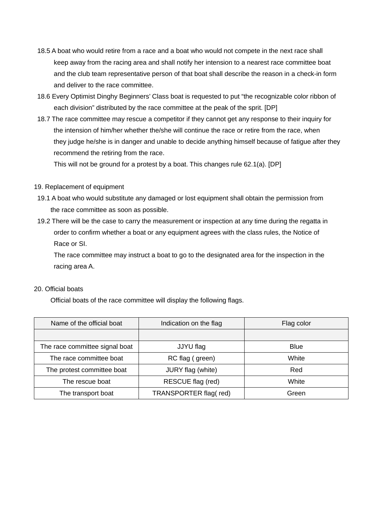- 18.5 A boat who would retire from a race and a boat who would not compete in the next race shall keep away from the racing area and shall notify her intension to a nearest race committee boat and the club team representative person of that boat shall describe the reason in a check-in form and deliver to the race committee.
- 18.6 Every Optimist Dinghy Beginners' Class boat is requested to put "the recognizable color ribbon of each division" distributed by the race committee at the peak of the sprit. [DP]
- 18.7 The race committee may rescue a competitor if they cannot get any response to their inquiry for the intension of him/her whether the/she will continue the race or retire from the race, when they judge he/she is in danger and unable to decide anything himself because of fatigue after they recommend the retiring from the race.

This will not be ground for a protest by a boat. This changes rule 62.1(a). [DP]

- 19. Replacement of equipment
- 19.1 A boat who would substitute any damaged or lost equipment shall obtain the permission from the race committee as soon as possible.
- 19.2 There will be the case to carry the measurement or inspection at any time during the regatta in order to confirm whether a boat or any equipment agrees with the class rules, the Notice of Race or SI.

 The race committee may instruct a boat to go to the designated area for the inspection in the racing area A.

## 20. Official boats

Official boats of the race committee will display the following flags.

| Name of the official boat      | Indication on the flag | Flag color  |  |
|--------------------------------|------------------------|-------------|--|
|                                |                        |             |  |
| The race committee signal boat | JJYU flag              | <b>Blue</b> |  |
| The race committee boat        | RC flag (green)        | White       |  |
| The protest committee boat     | JURY flag (white)      | Red         |  |
| The rescue boat                | RESCUE flag (red)      | White       |  |
| The transport boat             | TRANSPORTER flag(red)  | Green       |  |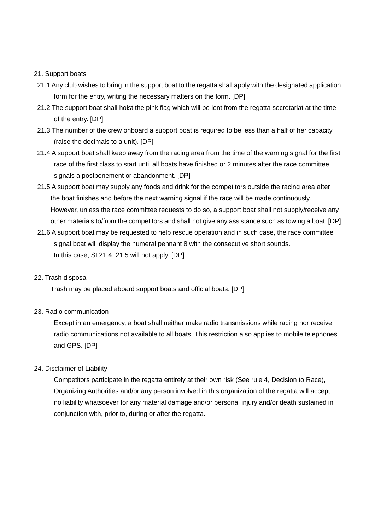#### 21. Support boats

- 21.1 Any club wishes to bring in the support boat to the regatta shall apply with the designated application form for the entry, writing the necessary matters on the form. [DP]
- 21.2 The support boat shall hoist the pink flag which will be lent from the regatta secretariat at the time of the entry. [DP]
- 21.3 The number of the crew onboard a support boat is required to be less than a half of her capacity (raise the decimals to a unit). [DP]
- 21.4 A support boat shall keep away from the racing area from the time of the warning signal for the first race of the first class to start until all boats have finished or 2 minutes after the race committee signals a postponement or abandonment. [DP]
- 21.5 A support boat may supply any foods and drink for the competitors outside the racing area after the boat finishes and before the next warning signal if the race will be made continuously. However, unless the race committee requests to do so, a support boat shall not supply/receive any other materials to/from the competitors and shall not give any assistance such as towing a boat. [DP]
- 21.6 A support boat may be requested to help rescue operation and in such case, the race committee signal boat will display the numeral pennant 8 with the consecutive short sounds. In this case, SI 21.4, 21.5 will not apply. [DP]

#### 22. Trash disposal

Trash may be placed aboard support boats and official boats. [DP]

#### 23. Radio communication

 Except in an emergency, a boat shall neither make radio transmissions while racing nor receive radio communications not available to all boats. This restriction also applies to mobile telephones and GPS. [DP]

#### 24. Disclaimer of Liability

 Competitors participate in the regatta entirely at their own risk (See rule 4, Decision to Race), Organizing Authorities and/or any person involved in this organization of the regatta will accept no liability whatsoever for any material damage and/or personal injury and/or death sustained in conjunction with, prior to, during or after the regatta.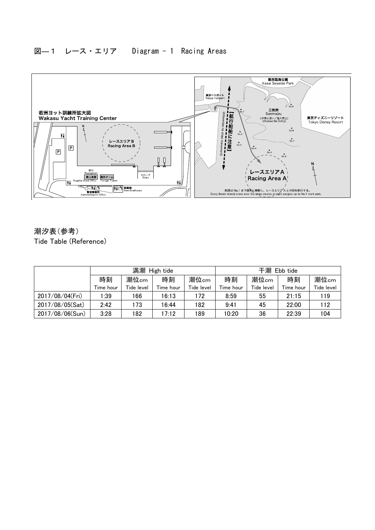

潮汐表(参考) Tide Table (Reference)

|                 | 満潮<br>High tide |            |           |            | 干潮<br>Ebb tide |            |           |            |
|-----------------|-----------------|------------|-----------|------------|----------------|------------|-----------|------------|
|                 | 時刻              | 潮位cm       | 時刻        | 潮位cm       | 時刻             | 潮位cm       | 時刻        | 潮位cm       |
|                 | Time hour       | Tide level | Time hour | Tide level | Time hour      | Tide level | Time hour | Tide level |
| 2017/08/04(Fri) | 1:39            | 166        | 16:13     | 172        | 8:59           | 55         | 21:15     | 119        |
| 2017/08/05(Sat) | 2:42            | 173        | 16:44     | 182        | 9:41           | 45         | 22:00     | 112        |
| 2017/08/06(Sun) | 3:28            | 182        | 17:12     | 189        | 10:20          | 36         | 22:39     | 104        |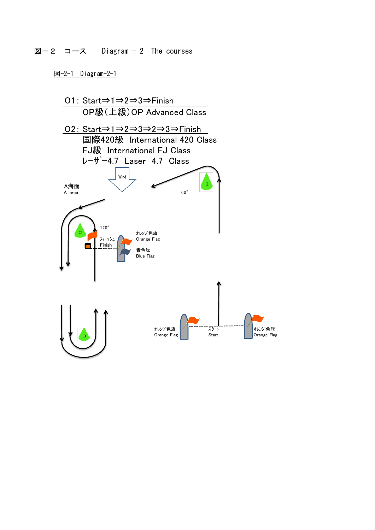図ー2 コース Diagram - 2 The courses

図-2-1 Diagram-2-1

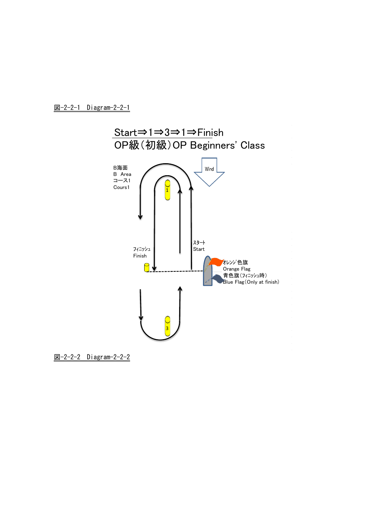図-2-2-1 Diagram-2-2-1